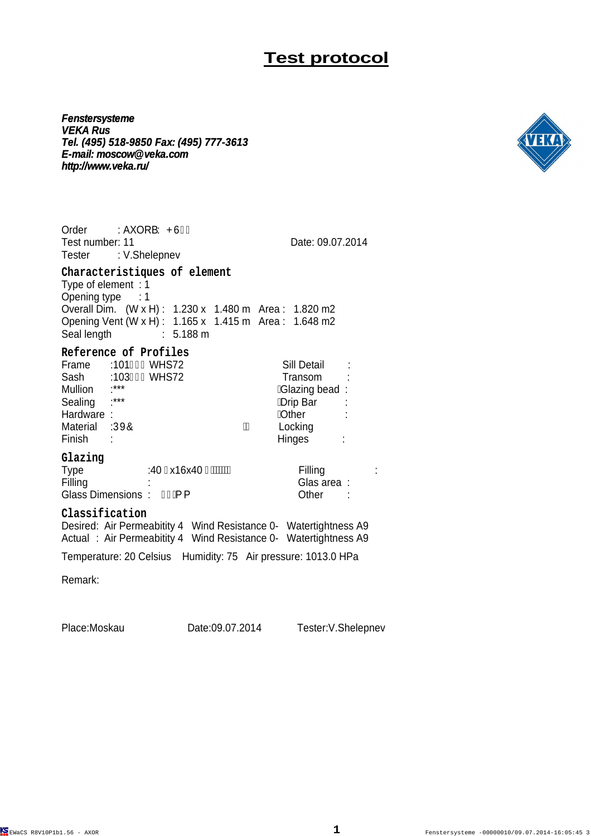**Fenstersysteme VEKA Rus Tel. (495) 518-9850 Fax: (495) 777-3613 E-mail: moscow@veka.com http://www.veka.ru/**



Order : AXOR'Y PÙÏ G Test number: 11 Date: 09.07.2014 Tester : V.Shelepnev **Characteristiques of element** Type of element : 1 Opening type : 1 Overall Dim. (W x H) : 1.230 x 1.480 m Area : 1.820 m2 Opening Vent (W x H) : 1.165 x 1.415 m Area : 1.648 m2 Seal length : 5.188 m **Reference of Profiles** Frame :101 G i WHS72 Sill Detail : Sash :103H GWHS72 Transom<br>Mullion :\*\*\* *K*Glazing be Mullion :\*\*\* Glazing bead : Sealing :\*\*\* Drip Bar : Hardware : Other : Material :ÚXÔ Finish : Hinges : **Glazing** Type :4T Fx16x4T F / TWW Filling : Filling : the set of the Glas area : Glas area : Glass Dimensions :  $\hat{H} \hat{A}$  { Other : **Classification** Desired: Air Permeabitity 4 Wind Resistance 0- Watertightness A9 Actual : Air Permeabitity 4 Wind Resistance 0- Watertightness A9 Temperature: 20 Celsius Humidity: 75 Air pressure: 1013.0 HPa

Remark:

Place:Moskau Date:09.07.2014 Tester:V.Shelepnev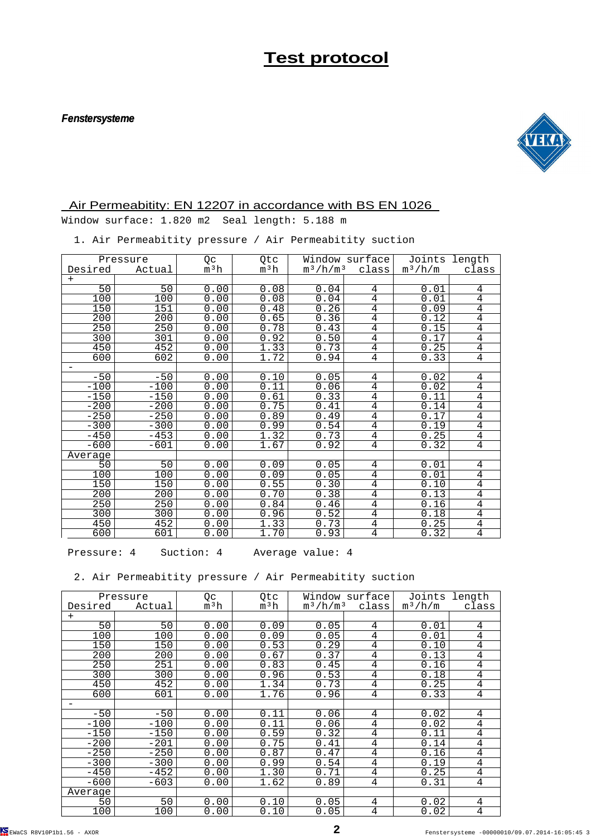#### **Fenstersysteme**



### Air Permeabitity: EN 12207 in accordance with BS EN 1026

Window surface: 1.820 m2 Seal length: 5.188 m

1. Air Permeabitity pressure / Air Permeabitity suction

| Pressure                 |               | Qc               | Qtc              |             | Window surface | Joints    | length         |
|--------------------------|---------------|------------------|------------------|-------------|----------------|-----------|----------------|
| Desired                  | <u>Actual</u> | m <sup>3</sup> h | m <sup>3</sup> h | $m^3/h/m^3$ | class          | $m^3/h/m$ | class          |
| $+$                      |               |                  |                  |             |                |           |                |
| 50                       | 50            | 0.00             | 0.08             | 0.04        | 4              | 0.01      | 4              |
| 100                      | 100           | 0.00             | 0.08             | 0.04        | 4              | 0.01      | 4              |
| 150                      | 151           | 0.00             | 0.48             | 0.26        | $\overline{4}$ | 0.09      | $\overline{4}$ |
| 200                      | 200           | 0.00             | 0.65             | 0.36        | 4              | 0.12      | $\overline{4}$ |
| 250                      | 250           | 0.00             | 0.78             | 0.43        | $\overline{4}$ | 0.15      | $\overline{4}$ |
| 300                      | 301           | 0.00             | 0.92             | 0.50        | 4              | 0.17      | 4              |
| 450                      | 452           | 0.00             | 1.33             | 0.73        | $\overline{4}$ | 0.25      | $\overline{4}$ |
| 600                      | 602           | 0.00             | 1.72             | 0.94        | $\overline{4}$ | 0.33      | $\overline{4}$ |
| $\overline{\phantom{m}}$ |               |                  |                  |             |                |           |                |
| $-50$                    | $-50$         | 0.00             | 0.10             | 0.05        | 4              | 0.02      | 4              |
| $-100$                   | $-100$        | 0.00             | 0.11             | 0.06        | 4              | 0.02      | $\overline{4}$ |
| $-150$                   | $-150$        | 0.00             | 0.61             | 0.33        | 4              | 0.11      | $\overline{4}$ |
| $-200$                   | $-200$        | 0.00             | 0.75             | 0.41        | $\overline{4}$ | 0.14      | $\overline{4}$ |
| $-250$                   | $-250$        | 0.00             | 0.89             | 0.49        | 4              | 0.17      | 4              |
| $-300$                   | $-300$        | 0.00             | 0.99             | 0.54        | $\overline{4}$ | 0.19      | $\overline{4}$ |
| $-450$                   | $-453$        | 0.00             | 1.32             | 0.73        | $\overline{4}$ | 0.25      | $\overline{4}$ |
| $-600$                   | $-601$        | 0.00             | 1.67             | 0.92        | $\overline{4}$ | 0.32      | $\overline{4}$ |
| Average                  |               |                  |                  |             |                |           |                |
| 50                       | 50            | 0.00             | 0.09             | 0.05        | 4              | 0.01      | 4              |
| 100                      | 100           | 0.00             | 0.09             | 0.05        | $\overline{4}$ | 0.01      | $\overline{4}$ |
| 150                      | 150           | 0.00             | 0.55             | 0.30        | 4              | 0.10      | $\overline{4}$ |
| 200                      | 200           | 0.00             | 0.70             | 0.38        | $\overline{4}$ | 0.13      | $\overline{4}$ |
| 250                      | 250           | 0.00             | 0.84             | 0.46        | $\overline{4}$ | 0.16      | $\overline{4}$ |
| 300                      | 300           | 0.00             | 0.96             | 0.52        | $\overline{4}$ | 0.18      | $\overline{4}$ |
| 450                      | 452           | 0.00             | 1.33             | 0.73        | 4              | 0.25      | $\overline{4}$ |
| 600                      | 601           | 0.00             | 1.70             | 0.93        | $\overline{4}$ | 0.32      | $\overline{4}$ |

Pressure: 4 Suction: 4 Average value: 4

2. Air Permeabitity pressure / Air Permeabitity suction

| Pressure |        | Qc               | Qtc              | Window surface                         |                | Joints<br>length |                |
|----------|--------|------------------|------------------|----------------------------------------|----------------|------------------|----------------|
| Desired  | Actual | m <sup>3</sup> h | m <sup>3</sup> h | $\mathrm{m}^3/\mathrm{h}/\mathrm{m}^3$ | class          | $m^3/h/m$        | class          |
| $^{+}$   |        |                  |                  |                                        |                |                  |                |
| 50       | 50     | 0.00             | 0.09             | 0.05                                   | 4              | 0.01             | 4              |
| 100      | 100    | 0.00             | 0.09             | 0.05                                   | 4              | 0.01             | 4              |
| 150      | 150    | 0.00             | 0.53             | 0.29                                   | 4              | 0.10             | $\bf 4$        |
| 200      | 200    | 0.00             | 0.67             | 0.37                                   | 4              | 0.13             | 4              |
| 250      | 251    | 0.00             | 0.83             | 0.45                                   | 4              | 0.16             | $\overline{4}$ |
| 300      | 300    | 0.00             | 0.96             | 0.53                                   | 4              | 0.18             | $\overline{4}$ |
| 450      | 452    | 0.00             | 1.34             | 0.73                                   | $\overline{4}$ | 0.25             | $\overline{4}$ |
| 600      | 601    | 0.00             | 1.76             | 0.96                                   | $\overline{4}$ | 0.33             | $\overline{4}$ |
|          |        |                  |                  |                                        |                |                  |                |
| $-50$    | $-50$  | 0.00             | 0.11             | 0.06                                   | 4              | 0.02             | 4              |
| $-100$   | $-100$ | 0.00             | 0.11             | 0.06                                   | 4              | 0.02             | 4              |
| $-150$   | $-150$ | 0.00             | 0.59             | 0.32                                   | 4              | 0.11             | $\overline{4}$ |
| $-200$   | $-201$ | 0.00             | 0.75             | 0.41                                   | $\overline{4}$ | 0.14             | 4              |
| $-250$   | $-250$ | 0.00             | 0.87             | 0.47                                   | 4              | 0.16             | $\overline{4}$ |
| $-300$   | $-300$ | 0.00             | 0.99             | 0.54                                   | 4              | 0.19             | $\overline{4}$ |
| $-450$   | $-452$ | 0.00             | 1.30             | 0.71                                   | 4              | 0.25             | $\overline{4}$ |
| $-600$   | $-603$ | 0.00             | 1.62             | 0.89                                   | 4              | 0.31             | $\overline{4}$ |
| Average  |        |                  |                  |                                        |                |                  |                |
| 50       | 50     | 0.00             | 0.10             | 0.05                                   | 4              | 0.02             | 4              |
| 100      | 100    | 0.00             | 0.10             | 0.05                                   | 4              | 0.02             | $\overline{4}$ |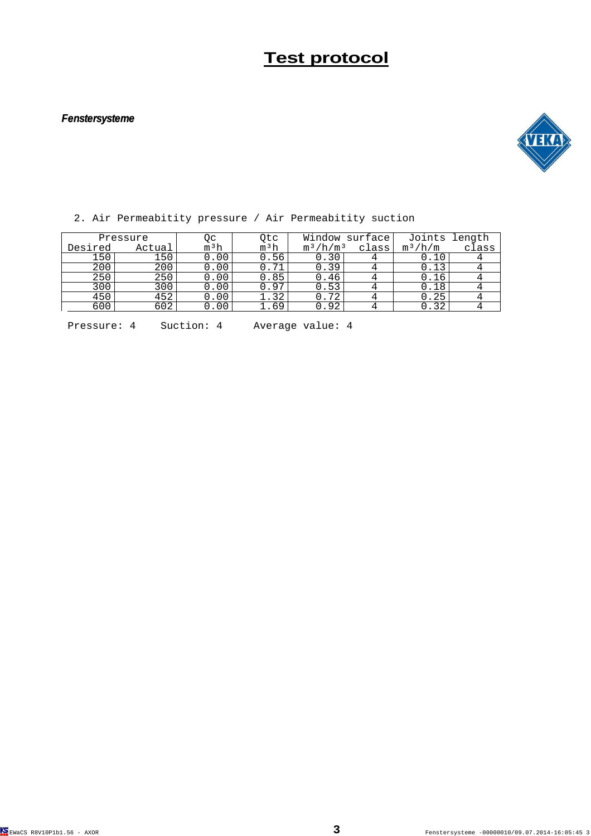#### **Fenstersysteme**



|          | 2. ALL LOIMCADICIC, PICDDUIC / AIL LOIMCADICIC, DUCCION |        |                  |             |                |           |               |
|----------|---------------------------------------------------------|--------|------------------|-------------|----------------|-----------|---------------|
| Pressure |                                                         | Qс     | 0tc              |             | Window surface |           | Joints length |
| Desired  | Actual                                                  | $m^3h$ | m <sup>3</sup> h | $m^3/h/m^3$ | class          | $m^3/h/m$ | class         |
| 150      | 150                                                     | 0.00   | 0.56             | 0.30        |                | 0.10      |               |
| 200      | 200                                                     | 0.00   | 0.71             | 0.39        |                | 0.13      |               |
| 250      | 250                                                     | 0.00   | 0.85             | 0.46        |                | 0.16      |               |
| 300      | 300                                                     | 0.00   | 0.97             | 0.53        |                | 0.18      |               |
| 450      | 452                                                     | 0.00   | 1.32             | 0.72        |                | 0.25      |               |
| 600      | 602                                                     | 0.00   | 1.69             | 0.92        |                | 0.32      |               |
|          |                                                         |        |                  |             |                |           |               |

2. Air Permeabitity pressure / Air Permeabitity suction

Pressure: 4 Suction: 4 Average value: 4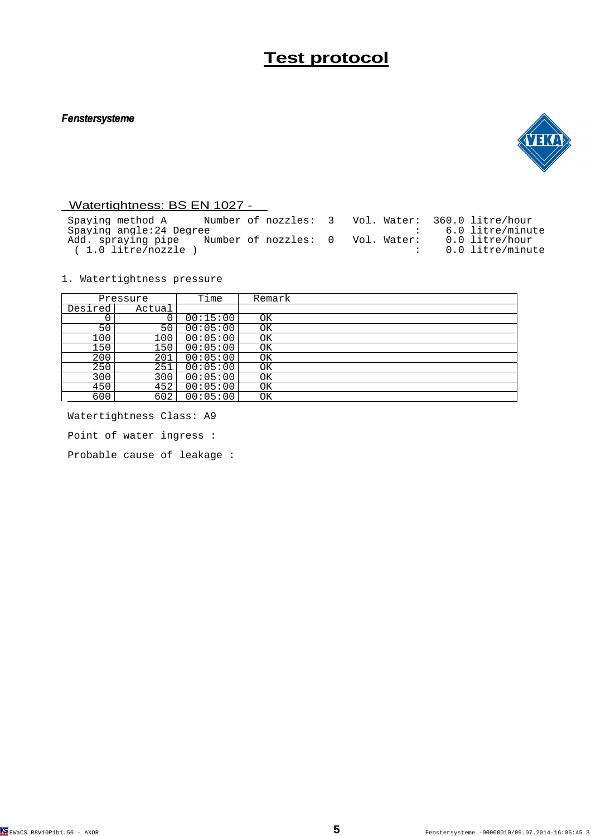#### **Fenstersysteme**



### Watertightness: BS EN 1027 -

 Spaying method A Number of nozzles: 3 Vol. Water: 360.0 litre/hour Spaying angle:24 Degree  $\qquad \qquad$  : 6.0 litre/minute Add. spraying pipe Number of nozzles: 0 Vol. Water: 0.0 litre/hour ( 1.0 litre/nozzle ) : 0.0 litre/minute

1. Watertightness pressure

| Pressure |        | Time     | Remark |
|----------|--------|----------|--------|
| Desired  | Actual |          |        |
|          |        | 00:15:00 | OK     |
| 50       | 50     | 00:05:00 | ΟK     |
| 100      | 100    | 00:05:00 | ΟK     |
| 150      | 150    | 00:05:00 | ΟK     |
| 200      | 201    | 00:05:00 | ΟK     |
| 250      | 251    | 00:05:00 | ΟK     |
| 300      | 300    | 00:05:00 | ΟK     |
| 450      | 452    | 00:05:00 | ΟK     |
| 600      | 602    | 00:05:00 | ΟK     |

 Watertightness Class: A9 Point of water ingress :

Probable cause of leakage :